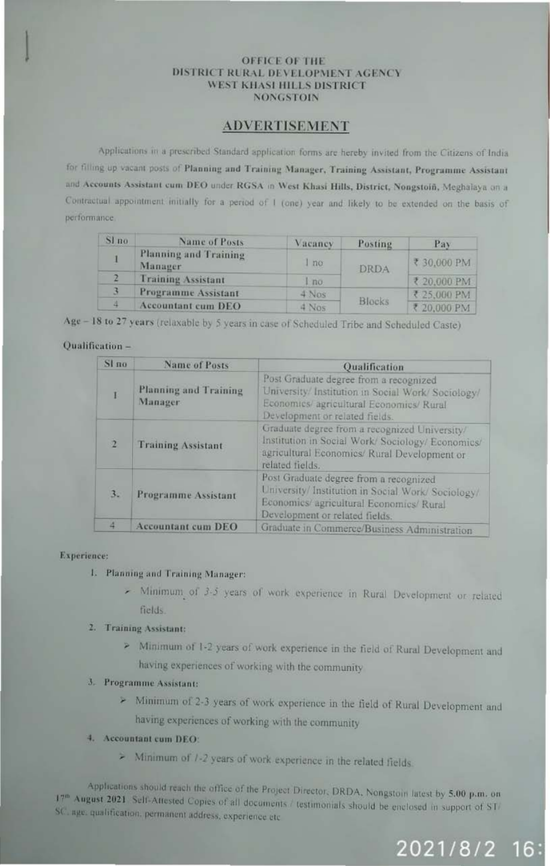### **OFFICE OF THE** DISTRICT RURAL DEVELOPMENT AGENCY WEST KHASI HILLS DISTRICT **NONGSTOIN**

### **ADVERTISEMENT**

Applications in a prescribed Standard application forms are hereby invited from the Citizens of India for filling up vacant posts of Planning and Training Manager, Training Assistant, Programme Assistant and Accounts Assistant cum DEO under RGSA in West Khasi Hills, District, Nongstoin, Meghalaya on a Contractual appointment initially for a period of 1 (one) year and likely to be extended on the basis of performance.

| Sl no. | Name of Posts                    | Vacanev | Posting       | Pay         |
|--------|----------------------------------|---------|---------------|-------------|
|        | Planning and Training<br>Manager | no.     | <b>DRDA</b>   | ₹ 30,000 PM |
|        | <b>Training Assistant</b>        | no      |               | ₹ 20,000 PM |
| з      | <b>Programme Assistant</b>       | 4 Nos   | <b>Blocks</b> | ₹ 25,000 PM |
| 4      | <b>Accountant cum DEO</b>        | 4 Nos   |               | ₹ 20,000 PM |

Age - 18 to 27 years (relaxable by 5 years in case of Scheduled Tribe and Scheduled Caste)

### Qualification-

| SI <sub>no</sub> | <b>Name of Posts</b>             | Qualification                                                                                                                                                                                                                                                                                                                                   |  |
|------------------|----------------------------------|-------------------------------------------------------------------------------------------------------------------------------------------------------------------------------------------------------------------------------------------------------------------------------------------------------------------------------------------------|--|
|                  | Planning and Training<br>Manager | Post Graduate degree from a recognized<br>University/ Institution in Social Work/Sociology/<br>Economics/agricultural Economics/Rural<br>Development or related fields.<br>Graduate degree from a recognized University/<br>Institution in Social Work/ Sociology/ Economics/<br>agricultural Economics/Rural Development or<br>related fields. |  |
|                  | <b>Training Assistant</b>        |                                                                                                                                                                                                                                                                                                                                                 |  |
| $3 -$            | Programme Assistant              | Post Graduate degree from a recognized<br>University/Institution in Social Work/Sociology/<br>Economics/ agricultural Economics/ Rural<br>Development or related fields.                                                                                                                                                                        |  |
| и                | <b>Accountant cum DEO</b>        | Graduate in Commerce/Business Administration                                                                                                                                                                                                                                                                                                    |  |

#### Experience:

- 1. Planning and Training Manager:
	- $\blacktriangleright$  Minimum of 3-5 years of work experience in Rural Development or related
	- nelds.
- 2. Training Assistant:
	- > Minimum of 1-2 years of work experience in the field of Rural Development and having experiences of working with the community
- 3. Programme Assistant:
	- > Minimum of 2-3 years of work experience in the field of Rural Development and having experiences of working with the community
- 4. Accountant cum DEO:
	- $>$  Minimum of  $1-2$  years of work experience in the related fields.

Applications should reach the office of the Project Director, DRDA, Nongstoin latest by 5.00 p.m. on 17<sup>m</sup> August 2021 Self-Affested Copies of all documents / testimonials should be enclosed in support of ST/ SC, age, qualification, permanent address, experience etc.

# 2021/8/2 16: